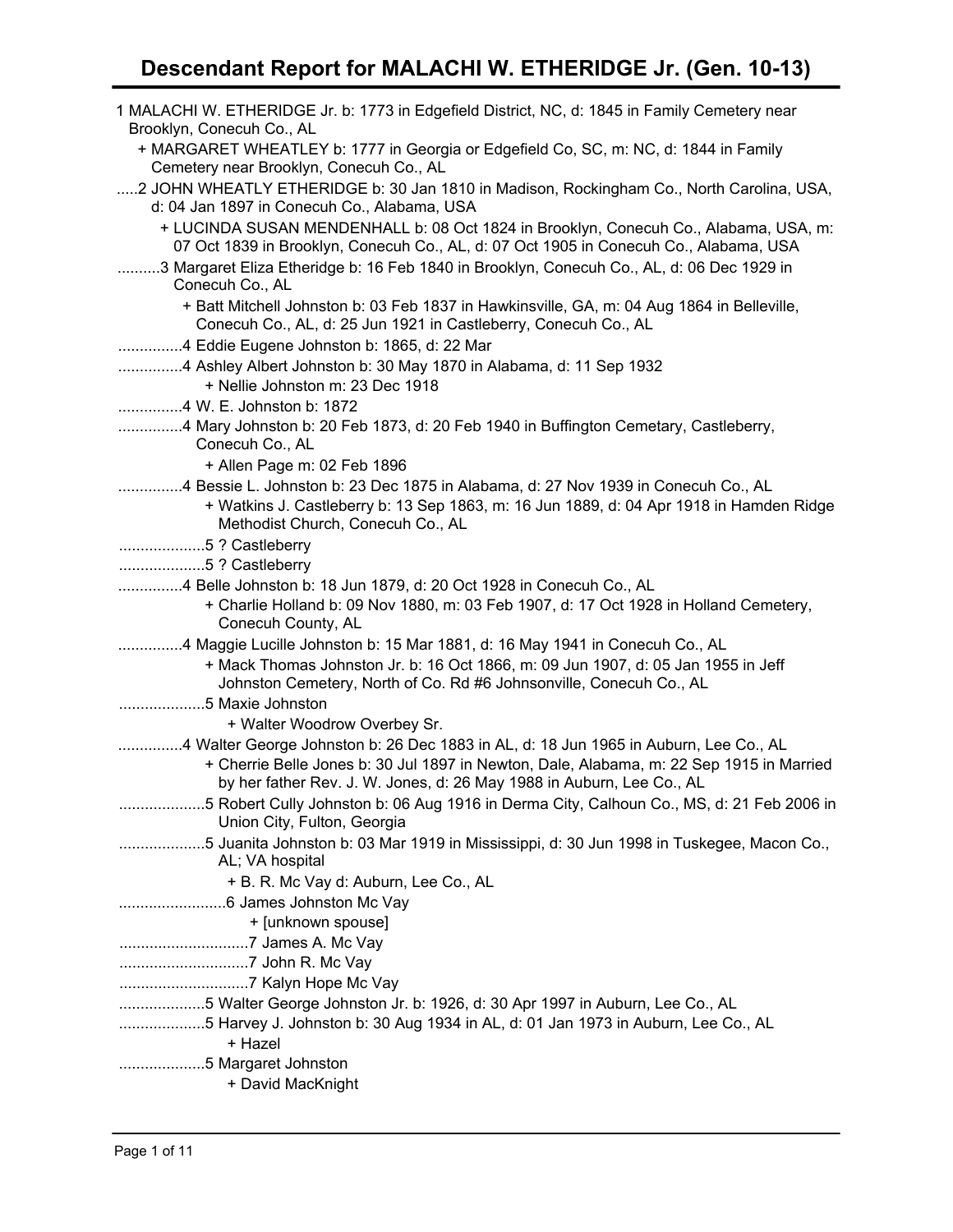## **Descendant Report for MALACHI W. ETHERIDGE Jr. (Gen. 10-13)**

| 1 MALACHI W. ETHERIDGE Jr. b: 1773 in Edgefield District, NC, d: 1845 in Family Cemetery near                                                                                                                                                             |
|-----------------------------------------------------------------------------------------------------------------------------------------------------------------------------------------------------------------------------------------------------------|
| Brooklyn, Conecuh Co., AL<br>+ MARGARET WHEATLEY b: 1777 in Georgia or Edgefield Co, SC, m: NC, d: 1844 in Family<br>Cemetery near Brooklyn, Conecuh Co., AL                                                                                              |
| 2 JOHN WHEATLY ETHERIDGE b: 30 Jan 1810 in Madison, Rockingham Co., North Carolina, USA,<br>d: 04 Jan 1897 in Conecuh Co., Alabama, USA                                                                                                                   |
| + LUCINDA SUSAN MENDENHALL b: 08 Oct 1824 in Brooklyn, Conecuh Co., Alabama, USA, m:<br>07 Oct 1839 in Brooklyn, Conecuh Co., AL, d: 07 Oct 1905 in Conecuh Co., Alabama, USA                                                                             |
| 3 Margaret Eliza Etheridge b: 16 Feb 1840 in Brooklyn, Conecuh Co., AL, d: 06 Dec 1929 in<br>Conecuh Co., AL                                                                                                                                              |
| + Batt Mitchell Johnston b: 03 Feb 1837 in Hawkinsville, GA, m: 04 Aug 1864 in Belleville,<br>Conecuh Co., AL, d: 25 Jun 1921 in Castleberry, Conecuh Co., AL                                                                                             |
| 4 Eddie Eugene Johnston b: 1865, d: 22 Mar                                                                                                                                                                                                                |
| 4 Ashley Albert Johnston b: 30 May 1870 in Alabama, d: 11 Sep 1932<br>+ Nellie Johnston m: 23 Dec 1918                                                                                                                                                    |
| 4 W. E. Johnston b: 1872                                                                                                                                                                                                                                  |
| 4 Mary Johnston b: 20 Feb 1873, d: 20 Feb 1940 in Buffington Cemetary, Castleberry,<br>Conecuh Co., AL                                                                                                                                                    |
| + Allen Page m: 02 Feb 1896                                                                                                                                                                                                                               |
| 4 Bessie L. Johnston b: 23 Dec 1875 in Alabama, d: 27 Nov 1939 in Conecuh Co., AL                                                                                                                                                                         |
| + Watkins J. Castleberry b: 13 Sep 1863, m: 16 Jun 1889, d: 04 Apr 1918 in Hamden Ridge<br>Methodist Church, Conecuh Co., AL                                                                                                                              |
| 5 ? Castleberry                                                                                                                                                                                                                                           |
| 5 ? Castleberry                                                                                                                                                                                                                                           |
| 4 Belle Johnston b: 18 Jun 1879, d: 20 Oct 1928 in Conecuh Co., AL                                                                                                                                                                                        |
| + Charlie Holland b: 09 Nov 1880, m: 03 Feb 1907, d: 17 Oct 1928 in Holland Cemetery,<br>Conecuh County, AL                                                                                                                                               |
| 4 Maggie Lucille Johnston b: 15 Mar 1881, d: 16 May 1941 in Conecuh Co., AL                                                                                                                                                                               |
| + Mack Thomas Johnston Jr. b: 16 Oct 1866, m: 09 Jun 1907, d: 05 Jan 1955 in Jeff<br>Johnston Cemetery, North of Co. Rd #6 Johnsonville, Conecuh Co., AL                                                                                                  |
| 5 Maxie Johnston                                                                                                                                                                                                                                          |
| + Walter Woodrow Overbey Sr.                                                                                                                                                                                                                              |
| 4 Walter George Johnston b: 26 Dec 1883 in AL, d: 18 Jun 1965 in Auburn, Lee Co., AL<br>+ Cherrie Belle Jones b: 30 Jul 1897 in Newton, Dale, Alabama, m: 22 Sep 1915 in Married<br>by her father Rev. J. W. Jones, d: 26 May 1988 in Auburn, Lee Co., AL |
| 5 Robert Cully Johnston b: 06 Aug 1916 in Derma City, Calhoun Co., MS, d: 21 Feb 2006 in                                                                                                                                                                  |
| Union City, Fulton, Georgia                                                                                                                                                                                                                               |
| 5 Juanita Johnston b: 03 Mar 1919 in Mississippi, d: 30 Jun 1998 in Tuskegee, Macon Co.,<br>AL; VA hospital                                                                                                                                               |
| + B. R. Mc Vay d: Auburn, Lee Co., AL                                                                                                                                                                                                                     |
|                                                                                                                                                                                                                                                           |
| + [unknown spouse]                                                                                                                                                                                                                                        |
|                                                                                                                                                                                                                                                           |
|                                                                                                                                                                                                                                                           |
|                                                                                                                                                                                                                                                           |
| 5 Walter George Johnston Jr. b: 1926, d: 30 Apr 1997 in Auburn, Lee Co., AL                                                                                                                                                                               |
| 5 Harvey J. Johnston b: 30 Aug 1934 in AL, d: 01 Jan 1973 in Auburn, Lee Co., AL<br>+ Hazel                                                                                                                                                               |
| 5 Margaret Johnston                                                                                                                                                                                                                                       |
| + David MacKnight                                                                                                                                                                                                                                         |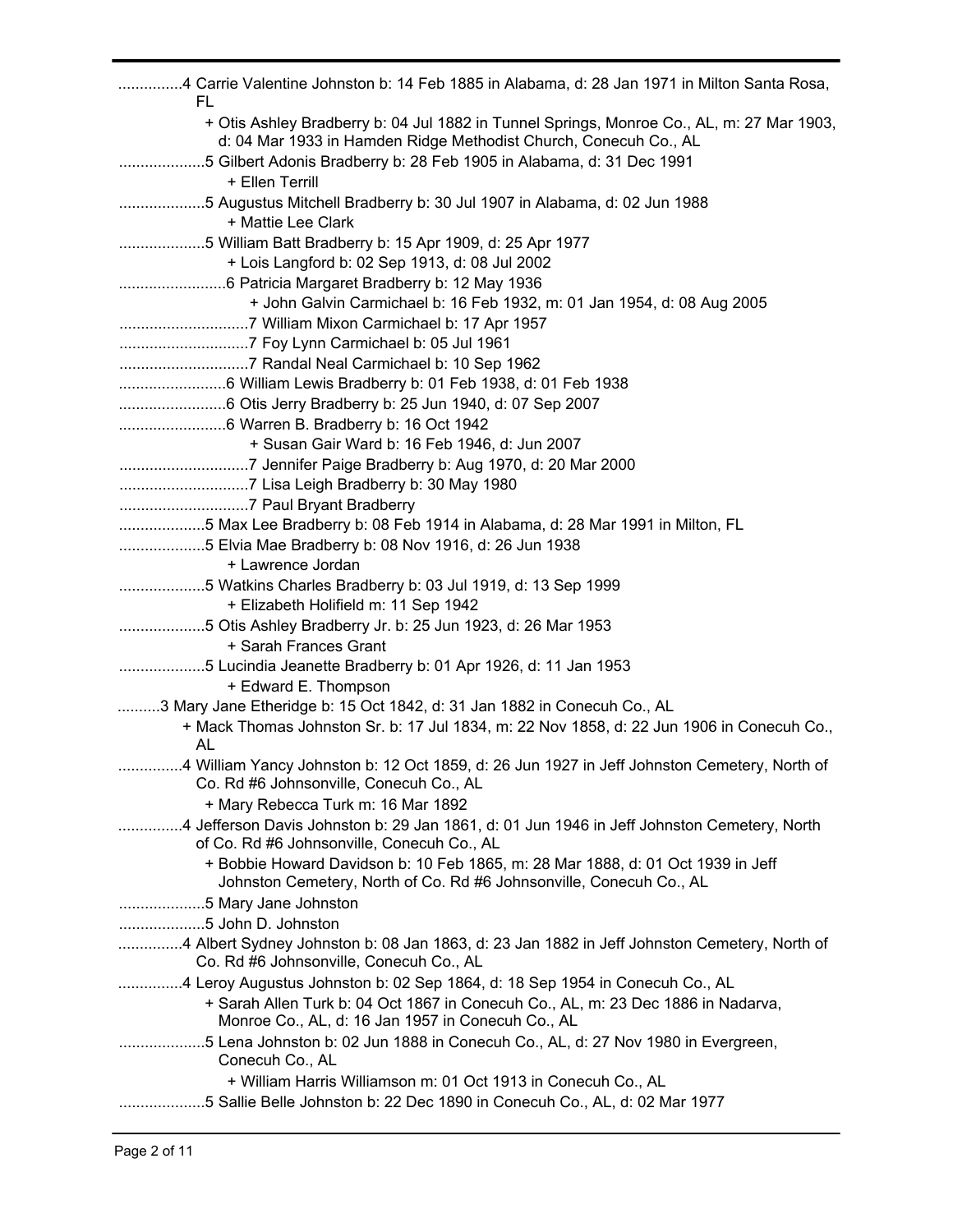| 4 Carrie Valentine Johnston b: 14 Feb 1885 in Alabama, d: 28 Jan 1971 in Milton Santa Rosa,<br>FL                                                             |
|---------------------------------------------------------------------------------------------------------------------------------------------------------------|
| + Otis Ashley Bradberry b: 04 Jul 1882 in Tunnel Springs, Monroe Co., AL, m: 27 Mar 1903,<br>d: 04 Mar 1933 in Hamden Ridge Methodist Church, Conecuh Co., AL |
| 5 Gilbert Adonis Bradberry b: 28 Feb 1905 in Alabama, d: 31 Dec 1991<br>+ Ellen Terrill                                                                       |
| 5 Augustus Mitchell Bradberry b: 30 Jul 1907 in Alabama, d: 02 Jun 1988                                                                                       |
| + Mattie Lee Clark                                                                                                                                            |
| 5 William Batt Bradberry b: 15 Apr 1909, d: 25 Apr 1977                                                                                                       |
| + Lois Langford b: 02 Sep 1913, d: 08 Jul 2002                                                                                                                |
|                                                                                                                                                               |
| + John Galvin Carmichael b: 16 Feb 1932, m: 01 Jan 1954, d: 08 Aug 2005                                                                                       |
|                                                                                                                                                               |
|                                                                                                                                                               |
|                                                                                                                                                               |
|                                                                                                                                                               |
|                                                                                                                                                               |
| + Susan Gair Ward b: 16 Feb 1946, d: Jun 2007                                                                                                                 |
|                                                                                                                                                               |
|                                                                                                                                                               |
|                                                                                                                                                               |
| 5 Max Lee Bradberry b: 08 Feb 1914 in Alabama, d: 28 Mar 1991 in Milton, FL                                                                                   |
| 5 Elvia Mae Bradberry b: 08 Nov 1916, d: 26 Jun 1938                                                                                                          |
| + Lawrence Jordan                                                                                                                                             |
| 5 Watkins Charles Bradberry b: 03 Jul 1919, d: 13 Sep 1999                                                                                                    |
| + Elizabeth Holifield m: 11 Sep 1942                                                                                                                          |
| 5 Otis Ashley Bradberry Jr. b: 25 Jun 1923, d: 26 Mar 1953<br>+ Sarah Frances Grant                                                                           |
| 5 Lucindia Jeanette Bradberry b: 01 Apr 1926, d: 11 Jan 1953                                                                                                  |
| + Edward E. Thompson                                                                                                                                          |
| 3 Mary Jane Etheridge b: 15 Oct 1842, d: 31 Jan 1882 in Conecuh Co., AL                                                                                       |
| + Mack Thomas Johnston Sr. b: 17 Jul 1834, m: 22 Nov 1858, d: 22 Jun 1906 in Conecuh Co.,                                                                     |
| AL                                                                                                                                                            |
| 4 William Yancy Johnston b: 12 Oct 1859, d: 26 Jun 1927 in Jeff Johnston Cemetery, North of<br>Co. Rd #6 Johnsonville, Conecuh Co., AL                        |
| + Mary Rebecca Turk m: 16 Mar 1892                                                                                                                            |
| 4 Jefferson Davis Johnston b: 29 Jan 1861, d: 01 Jun 1946 in Jeff Johnston Cemetery, North<br>of Co. Rd #6 Johnsonville, Conecuh Co., AL                      |
| + Bobbie Howard Davidson b: 10 Feb 1865, m: 28 Mar 1888, d: 01 Oct 1939 in Jeff<br>Johnston Cemetery, North of Co. Rd #6 Johnsonville, Conecuh Co., AL        |
| 5 Mary Jane Johnston                                                                                                                                          |
| 5 John D. Johnston                                                                                                                                            |
| 4 Albert Sydney Johnston b: 08 Jan 1863, d: 23 Jan 1882 in Jeff Johnston Cemetery, North of<br>Co. Rd #6 Johnsonville, Conecuh Co., AL                        |
| 4 Leroy Augustus Johnston b: 02 Sep 1864, d: 18 Sep 1954 in Conecuh Co., AL                                                                                   |
| + Sarah Allen Turk b: 04 Oct 1867 in Conecuh Co., AL, m: 23 Dec 1886 in Nadarva,<br>Monroe Co., AL, d: 16 Jan 1957 in Conecuh Co., AL                         |
| 5 Lena Johnston b: 02 Jun 1888 in Conecuh Co., AL, d: 27 Nov 1980 in Evergreen,<br>Conecuh Co., AL                                                            |
| + William Harris Williamson m: 01 Oct 1913 in Conecuh Co., AL                                                                                                 |
| 5 Sallie Belle Johnston b: 22 Dec 1890 in Conecuh Co., AL, d: 02 Mar 1977                                                                                     |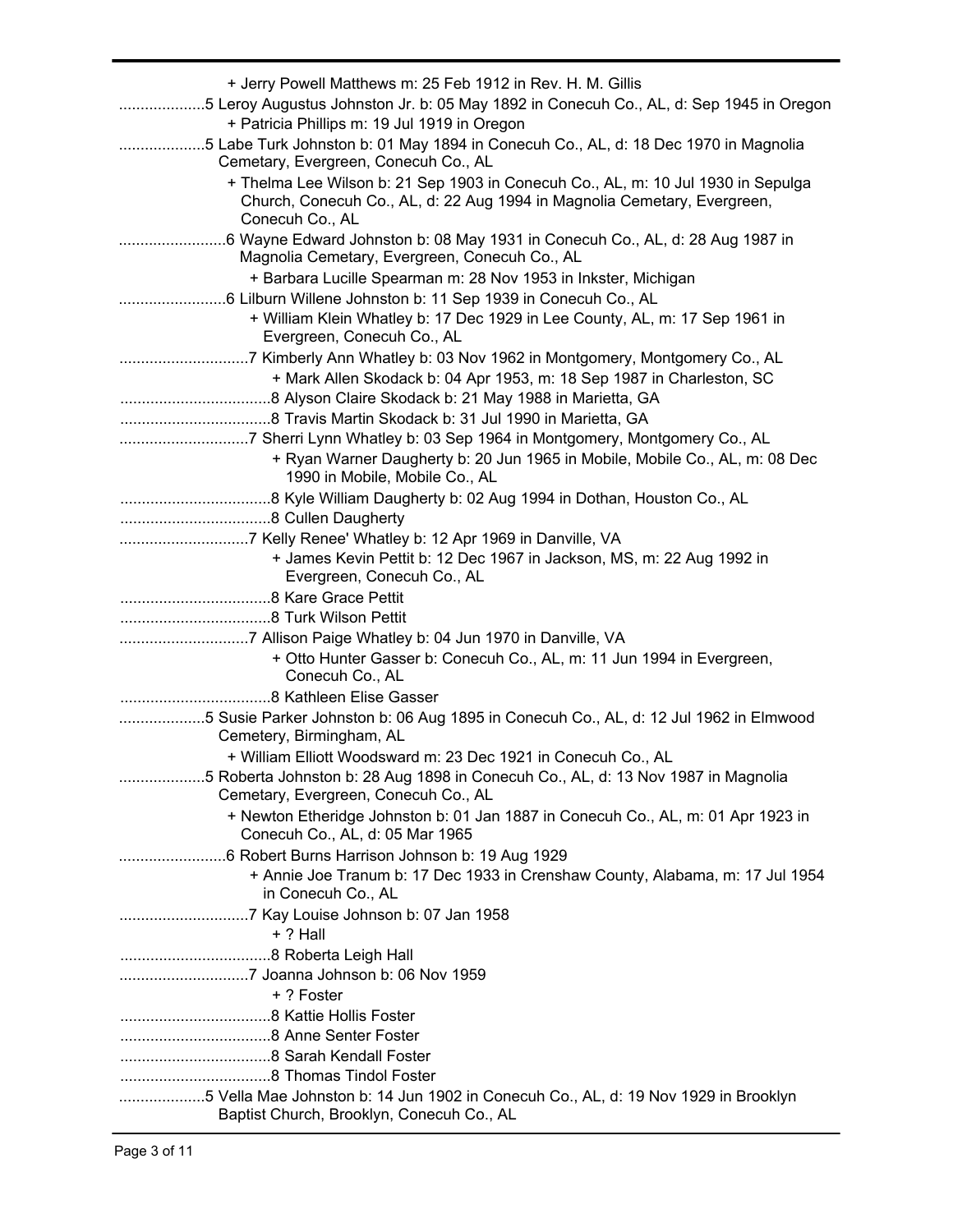| + Jerry Powell Matthews m: 25 Feb 1912 in Rev. H. M. Gillis                                                                                                  |
|--------------------------------------------------------------------------------------------------------------------------------------------------------------|
| 5 Leroy Augustus Johnston Jr. b: 05 May 1892 in Conecuh Co., AL, d: Sep 1945 in Oregon<br>+ Patricia Phillips m: 19 Jul 1919 in Oregon                       |
| 5 Labe Turk Johnston b: 01 May 1894 in Conecuh Co., AL, d: 18 Dec 1970 in Magnolia                                                                           |
| Cemetary, Evergreen, Conecuh Co., AL                                                                                                                         |
| + Thelma Lee Wilson b: 21 Sep 1903 in Conecuh Co., AL, m: 10 Jul 1930 in Sepulga<br>Church, Conecuh Co., AL, d: 22 Aug 1994 in Magnolia Cemetary, Evergreen, |
| Conecuh Co., AL                                                                                                                                              |
| Magnolia Cemetary, Evergreen, Conecuh Co., AL                                                                                                                |
| + Barbara Lucille Spearman m: 28 Nov 1953 in Inkster, Michigan                                                                                               |
|                                                                                                                                                              |
| + William Klein Whatley b: 17 Dec 1929 in Lee County, AL, m: 17 Sep 1961 in<br>Evergreen, Conecuh Co., AL                                                    |
|                                                                                                                                                              |
| + Mark Allen Skodack b: 04 Apr 1953, m: 18 Sep 1987 in Charleston, SC                                                                                        |
|                                                                                                                                                              |
|                                                                                                                                                              |
|                                                                                                                                                              |
| + Ryan Warner Daugherty b: 20 Jun 1965 in Mobile, Mobile Co., AL, m: 08 Dec<br>1990 in Mobile, Mobile Co., AL                                                |
|                                                                                                                                                              |
|                                                                                                                                                              |
|                                                                                                                                                              |
| + James Kevin Pettit b: 12 Dec 1967 in Jackson, MS, m: 22 Aug 1992 in                                                                                        |
| Evergreen, Conecuh Co., AL                                                                                                                                   |
|                                                                                                                                                              |
|                                                                                                                                                              |
|                                                                                                                                                              |
| + Otto Hunter Gasser b: Conecuh Co., AL, m: 11 Jun 1994 in Evergreen,                                                                                        |
| Conecuh Co., AL                                                                                                                                              |
|                                                                                                                                                              |
| 5 Susie Parker Johnston b: 06 Aug 1895 in Conecuh Co., AL, d: 12 Jul 1962 in Elmwood<br>Cemetery, Birmingham, AL                                             |
| + William Elliott Woodsward m: 23 Dec 1921 in Conecuh Co., AL                                                                                                |
| 5 Roberta Johnston b: 28 Aug 1898 in Conecuh Co., AL, d: 13 Nov 1987 in Magnolia                                                                             |
| Cemetary, Evergreen, Conecuh Co., AL                                                                                                                         |
| + Newton Etheridge Johnston b: 01 Jan 1887 in Conecuh Co., AL, m: 01 Apr 1923 in<br>Conecuh Co., AL, d: 05 Mar 1965                                          |
|                                                                                                                                                              |
| + Annie Joe Tranum b: 17 Dec 1933 in Crenshaw County, Alabama, m: 17 Jul 1954<br>in Conecuh Co., AL                                                          |
| $+$ ? Hall                                                                                                                                                   |
|                                                                                                                                                              |
|                                                                                                                                                              |
| + ? Foster                                                                                                                                                   |
|                                                                                                                                                              |
|                                                                                                                                                              |
|                                                                                                                                                              |
|                                                                                                                                                              |
|                                                                                                                                                              |
| 5 Vella Mae Johnston b: 14 Jun 1902 in Conecuh Co., AL, d: 19 Nov 1929 in Brooklyn                                                                           |
| Baptist Church, Brooklyn, Conecuh Co., AL                                                                                                                    |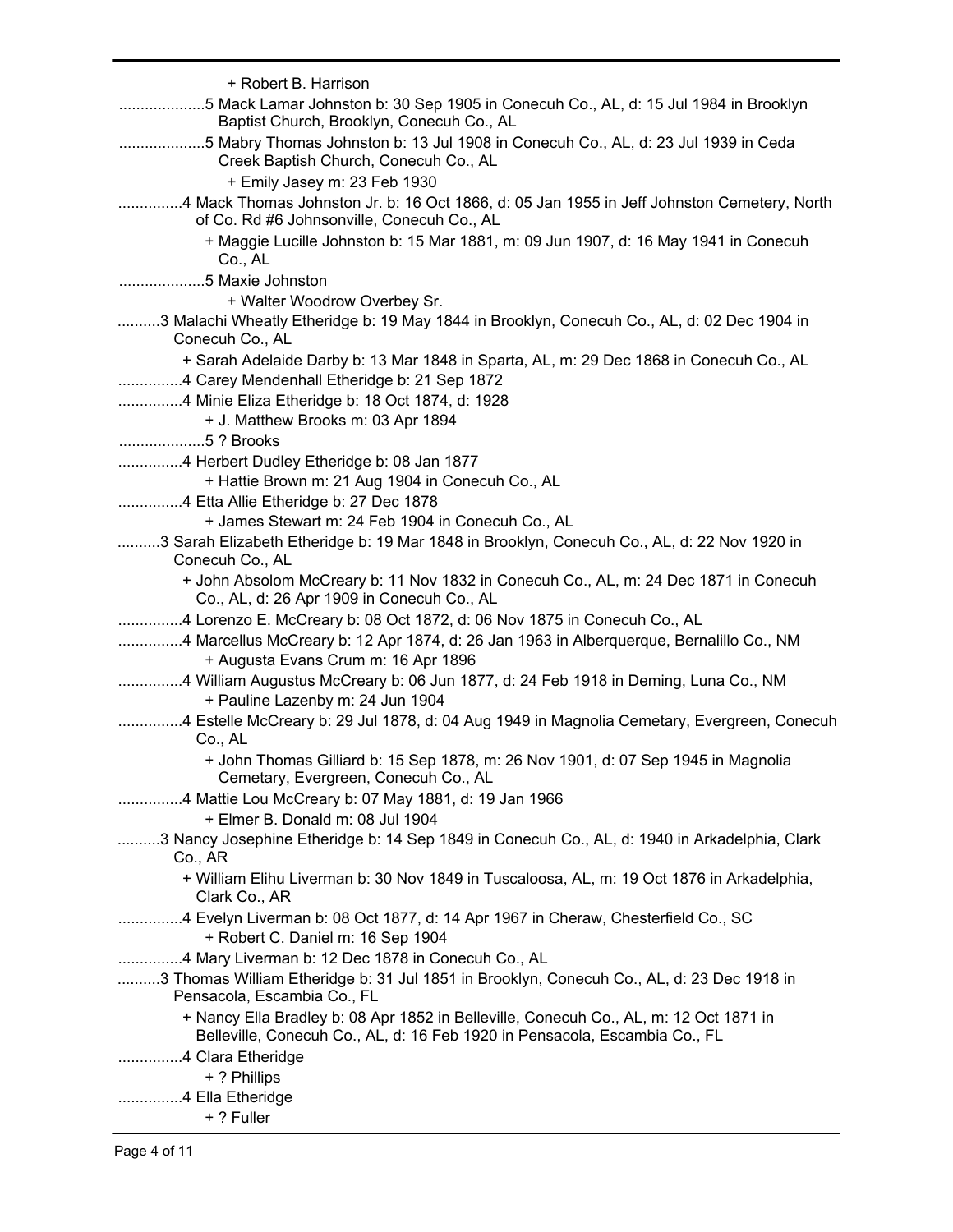| + Robert B. Harrison                                                                                                                                                |
|---------------------------------------------------------------------------------------------------------------------------------------------------------------------|
| 5 Mack Lamar Johnston b: 30 Sep 1905 in Conecuh Co., AL, d: 15 Jul 1984 in Brooklyn<br>Baptist Church, Brooklyn, Conecuh Co., AL                                    |
| 5 Mabry Thomas Johnston b: 13 Jul 1908 in Conecuh Co., AL, d: 23 Jul 1939 in Ceda<br>Creek Baptish Church, Conecuh Co., AL                                          |
| + Emily Jasey m: 23 Feb 1930                                                                                                                                        |
| 4 Mack Thomas Johnston Jr. b: 16 Oct 1866, d: 05 Jan 1955 in Jeff Johnston Cemetery, North<br>of Co. Rd #6 Johnsonville, Conecuh Co., AL                            |
| + Maggie Lucille Johnston b: 15 Mar 1881, m: 09 Jun 1907, d: 16 May 1941 in Conecuh<br>Co., AL                                                                      |
| 5 Maxie Johnston                                                                                                                                                    |
| + Walter Woodrow Overbey Sr.                                                                                                                                        |
| 3 Malachi Wheatly Etheridge b: 19 May 1844 in Brooklyn, Conecuh Co., AL, d: 02 Dec 1904 in<br>Conecuh Co., AL                                                       |
| + Sarah Adelaide Darby b: 13 Mar 1848 in Sparta, AL, m: 29 Dec 1868 in Conecuh Co., AL                                                                              |
| 4 Carey Mendenhall Etheridge b: 21 Sep 1872                                                                                                                         |
| 4 Minie Eliza Etheridge b: 18 Oct 1874, d: 1928                                                                                                                     |
| + J. Matthew Brooks m: 03 Apr 1894                                                                                                                                  |
| 5 ? Brooks                                                                                                                                                          |
| 4 Herbert Dudley Etheridge b: 08 Jan 1877                                                                                                                           |
| + Hattie Brown m: 21 Aug 1904 in Conecuh Co., AL                                                                                                                    |
| 4 Etta Allie Etheridge b: 27 Dec 1878                                                                                                                               |
| + James Stewart m: 24 Feb 1904 in Conecuh Co., AL                                                                                                                   |
| 3 Sarah Elizabeth Etheridge b: 19 Mar 1848 in Brooklyn, Conecuh Co., AL, d: 22 Nov 1920 in<br>Conecuh Co., AL                                                       |
| + John Absolom McCreary b: 11 Nov 1832 in Conecuh Co., AL, m: 24 Dec 1871 in Conecuh<br>Co., AL, d: 26 Apr 1909 in Conecuh Co., AL                                  |
| 4 Lorenzo E. McCreary b: 08 Oct 1872, d: 06 Nov 1875 in Conecuh Co., AL                                                                                             |
| 4 Marcellus McCreary b: 12 Apr 1874, d: 26 Jan 1963 in Alberquerque, Bernalillo Co., NM                                                                             |
| + Augusta Evans Crum m: 16 Apr 1896                                                                                                                                 |
| 4 William Augustus McCreary b: 06 Jun 1877, d: 24 Feb 1918 in Deming, Luna Co., NM<br>+ Pauline Lazenby m: 24 Jun 1904                                              |
| 4 Estelle McCreary b: 29 Jul 1878, d: 04 Aug 1949 in Magnolia Cemetary, Evergreen, Conecuh<br>Co., AL                                                               |
| + John Thomas Gilliard b: 15 Sep 1878, m: 26 Nov 1901, d: 07 Sep 1945 in Magnolia<br>Cemetary, Evergreen, Conecuh Co., AL                                           |
| 4 Mattie Lou McCreary b: 07 May 1881, d: 19 Jan 1966                                                                                                                |
| + Elmer B. Donald m: 08 Jul 1904                                                                                                                                    |
| 3 Nancy Josephine Etheridge b: 14 Sep 1849 in Conecuh Co., AL, d: 1940 in Arkadelphia, Clark<br>Co., AR                                                             |
| + William Elihu Liverman b: 30 Nov 1849 in Tuscaloosa, AL, m: 19 Oct 1876 in Arkadelphia,<br>Clark Co., AR                                                          |
| 4 Evelyn Liverman b: 08 Oct 1877, d: 14 Apr 1967 in Cheraw, Chesterfield Co., SC<br>+ Robert C. Daniel m: 16 Sep 1904                                               |
| 4 Mary Liverman b: 12 Dec 1878 in Conecuh Co., AL                                                                                                                   |
| 3 Thomas William Etheridge b: 31 Jul 1851 in Brooklyn, Conecuh Co., AL, d: 23 Dec 1918 in<br>Pensacola, Escambia Co., FL                                            |
| + Nancy Ella Bradley b: 08 Apr 1852 in Belleville, Conecuh Co., AL, m: 12 Oct 1871 in<br>Belleville, Conecuh Co., AL, d: 16 Feb 1920 in Pensacola, Escambia Co., FL |
| 4 Clara Etheridge                                                                                                                                                   |
| + ? Phillips                                                                                                                                                        |
| 4 Ella Etheridge                                                                                                                                                    |
| + ? Fuller                                                                                                                                                          |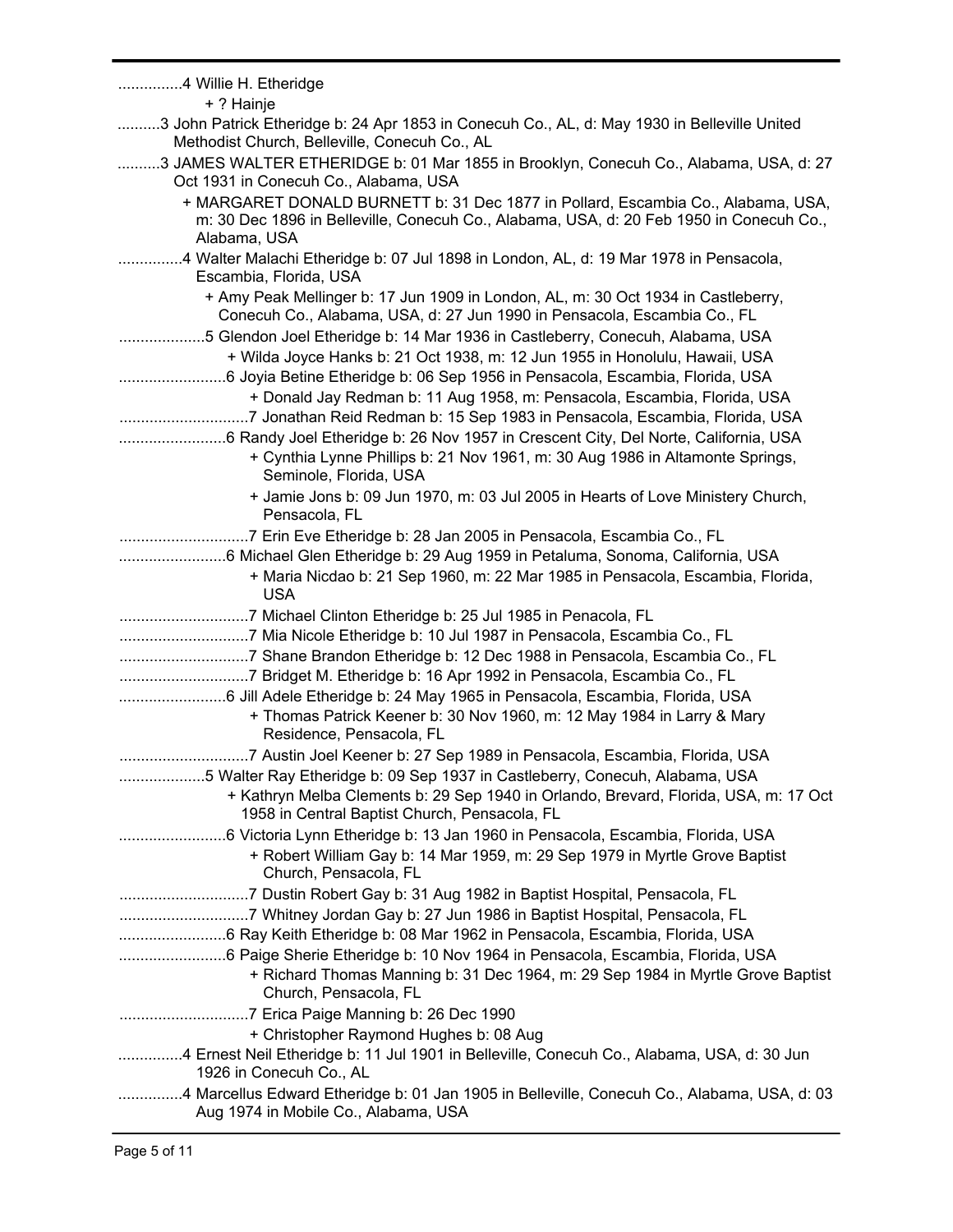| 4 Willie H. Etheridge<br>+ ? Hainje                                                                                                                                                         |
|---------------------------------------------------------------------------------------------------------------------------------------------------------------------------------------------|
| 3 John Patrick Etheridge b: 24 Apr 1853 in Conecuh Co., AL, d: May 1930 in Belleville United                                                                                                |
| Methodist Church, Belleville, Conecuh Co., AL<br>3 JAMES WALTER ETHERIDGE b: 01 Mar 1855 in Brooklyn, Conecuh Co., Alabama, USA, d: 27                                                      |
| Oct 1931 in Conecuh Co., Alabama, USA                                                                                                                                                       |
| + MARGARET DONALD BURNETT b: 31 Dec 1877 in Pollard, Escambia Co., Alabama, USA,<br>m: 30 Dec 1896 in Belleville, Conecuh Co., Alabama, USA, d: 20 Feb 1950 in Conecuh Co.,<br>Alabama, USA |
| 4 Walter Malachi Etheridge b: 07 Jul 1898 in London, AL, d: 19 Mar 1978 in Pensacola,<br>Escambia, Florida, USA                                                                             |
| + Amy Peak Mellinger b: 17 Jun 1909 in London, AL, m: 30 Oct 1934 in Castleberry,<br>Conecuh Co., Alabama, USA, d: 27 Jun 1990 in Pensacola, Escambia Co., FL                               |
| 5 Glendon Joel Etheridge b: 14 Mar 1936 in Castleberry, Conecuh, Alabama, USA                                                                                                               |
| + Wilda Joyce Hanks b: 21 Oct 1938, m: 12 Jun 1955 in Honolulu, Hawaii, USA                                                                                                                 |
| 6 Joyia Betine Etheridge b: 06 Sep 1956 in Pensacola, Escambia, Florida, USA                                                                                                                |
| + Donald Jay Redman b: 11 Aug 1958, m: Pensacola, Escambia, Florida, USA                                                                                                                    |
| 7 Jonathan Reid Redman b: 15 Sep 1983 in Pensacola, Escambia, Florida, USA                                                                                                                  |
|                                                                                                                                                                                             |
| + Cynthia Lynne Phillips b: 21 Nov 1961, m: 30 Aug 1986 in Altamonte Springs,<br>Seminole, Florida, USA                                                                                     |
| + Jamie Jons b: 09 Jun 1970, m: 03 Jul 2005 in Hearts of Love Ministery Church,<br>Pensacola, FL                                                                                            |
| 7 Erin Eve Etheridge b: 28 Jan 2005 in Pensacola, Escambia Co., FL                                                                                                                          |
|                                                                                                                                                                                             |
| + Maria Nicdao b: 21 Sep 1960, m: 22 Mar 1985 in Pensacola, Escambia, Florida,<br><b>USA</b>                                                                                                |
|                                                                                                                                                                                             |
| 7 Mia Nicole Etheridge b: 10 Jul 1987 in Pensacola, Escambia Co., FL                                                                                                                        |
|                                                                                                                                                                                             |
| 7 Bridget M. Etheridge b: 16 Apr 1992 in Pensacola, Escambia Co., FL                                                                                                                        |
|                                                                                                                                                                                             |
| + Thomas Patrick Keener b: 30 Nov 1960, m: 12 May 1984 in Larry & Mary<br>Residence, Pensacola, FL                                                                                          |
| 7 Austin Joel Keener b: 27 Sep 1989 in Pensacola, Escambia, Florida, USA                                                                                                                    |
| 5 Walter Ray Etheridge b: 09 Sep 1937 in Castleberry, Conecuh, Alabama, USA                                                                                                                 |
|                                                                                                                                                                                             |
| + Kathryn Melba Clements b: 29 Sep 1940 in Orlando, Brevard, Florida, USA, m: 17 Oct<br>1958 in Central Baptist Church, Pensacola, FL                                                       |
|                                                                                                                                                                                             |
| + Robert William Gay b: 14 Mar 1959, m: 29 Sep 1979 in Myrtle Grove Baptist<br>Church, Pensacola, FL                                                                                        |
|                                                                                                                                                                                             |
| 7 Whitney Jordan Gay b: 27 Jun 1986 in Baptist Hospital, Pensacola, FL                                                                                                                      |
| 6 Ray Keith Etheridge b: 08 Mar 1962 in Pensacola, Escambia, Florida, USA                                                                                                                   |
|                                                                                                                                                                                             |
| + Richard Thomas Manning b: 31 Dec 1964, m: 29 Sep 1984 in Myrtle Grove Baptist<br>Church, Pensacola, FL                                                                                    |
|                                                                                                                                                                                             |
| + Christopher Raymond Hughes b: 08 Aug                                                                                                                                                      |
| 4 Ernest Neil Etheridge b: 11 Jul 1901 in Belleville, Conecuh Co., Alabama, USA, d: 30 Jun<br>1926 in Conecuh Co., AL                                                                       |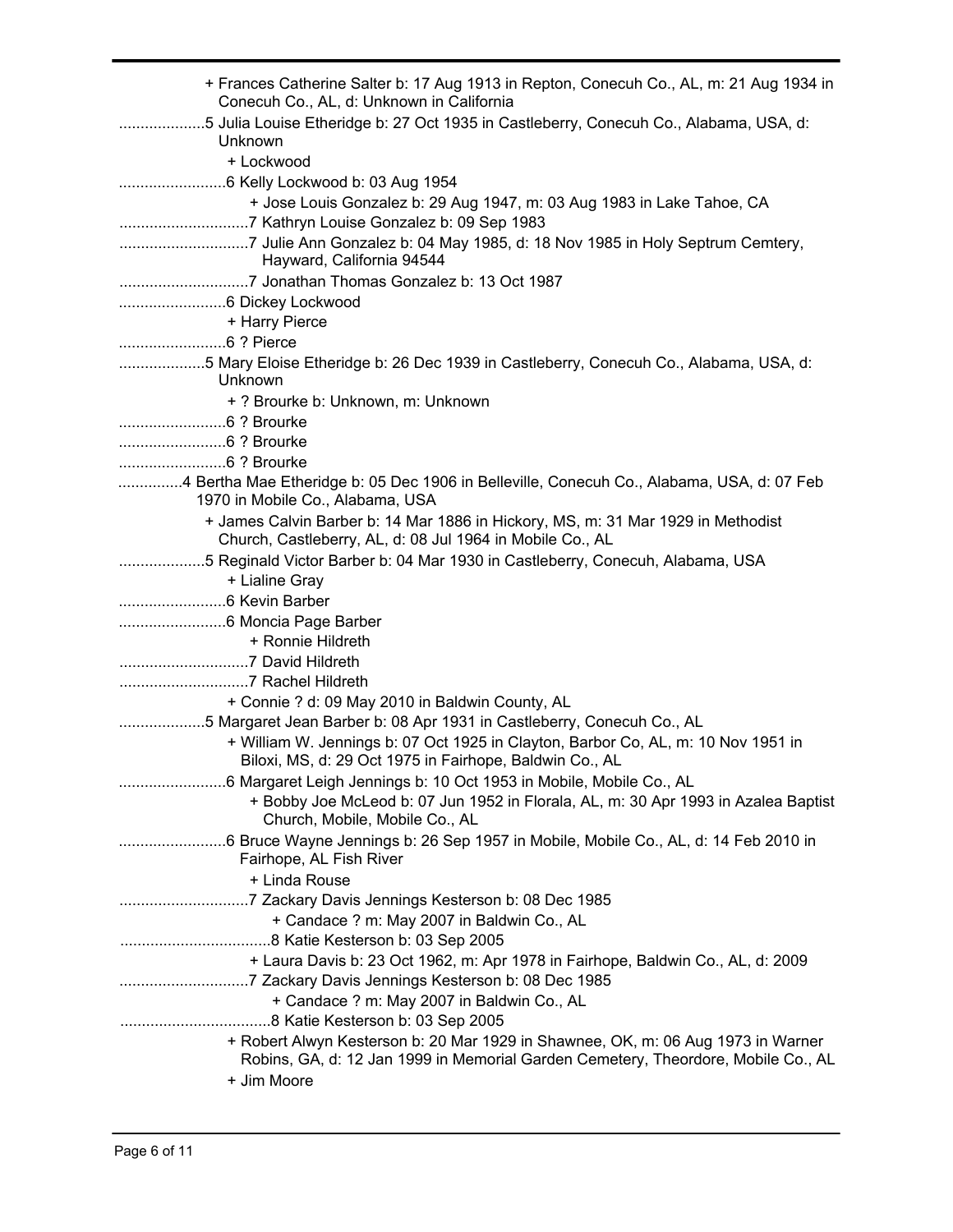| + Frances Catherine Salter b: 17 Aug 1913 in Repton, Conecuh Co., AL, m: 21 Aug 1934 in<br>Conecuh Co., AL, d: Unknown in California                                  |
|-----------------------------------------------------------------------------------------------------------------------------------------------------------------------|
| 5 Julia Louise Etheridge b: 27 Oct 1935 in Castleberry, Conecuh Co., Alabama, USA, d:<br>Unknown                                                                      |
| + Lockwood                                                                                                                                                            |
|                                                                                                                                                                       |
| + Jose Louis Gonzalez b: 29 Aug 1947, m: 03 Aug 1983 in Lake Tahoe, CA                                                                                                |
|                                                                                                                                                                       |
| Hayward, California 94544                                                                                                                                             |
|                                                                                                                                                                       |
|                                                                                                                                                                       |
| + Harry Pierce                                                                                                                                                        |
|                                                                                                                                                                       |
| 5 Mary Eloise Etheridge b: 26 Dec 1939 in Castleberry, Conecuh Co., Alabama, USA, d:                                                                                  |
| Unknown                                                                                                                                                               |
| + ? Brourke b: Unknown, m: Unknown                                                                                                                                    |
|                                                                                                                                                                       |
|                                                                                                                                                                       |
|                                                                                                                                                                       |
| 4 Bertha Mae Etheridge b: 05 Dec 1906 in Belleville, Conecuh Co., Alabama, USA, d: 07 Feb                                                                             |
| 1970 in Mobile Co., Alabama, USA                                                                                                                                      |
| + James Calvin Barber b: 14 Mar 1886 in Hickory, MS, m: 31 Mar 1929 in Methodist<br>Church, Castleberry, AL, d: 08 Jul 1964 in Mobile Co., AL                         |
| 5 Reginald Victor Barber b: 04 Mar 1930 in Castleberry, Conecuh, Alabama, USA                                                                                         |
| + Lialine Gray                                                                                                                                                        |
|                                                                                                                                                                       |
|                                                                                                                                                                       |
| + Ronnie Hildreth                                                                                                                                                     |
|                                                                                                                                                                       |
|                                                                                                                                                                       |
| + Connie ? d: 09 May 2010 in Baldwin County, AL                                                                                                                       |
| 5 Margaret Jean Barber b: 08 Apr 1931 in Castleberry, Conecuh Co., AL                                                                                                 |
| + William W. Jennings b: 07 Oct 1925 in Clayton, Barbor Co, AL, m: 10 Nov 1951 in<br>Biloxi, MS, d: 29 Oct 1975 in Fairhope, Baldwin Co., AL                          |
| 6 Margaret Leigh Jennings b: 10 Oct 1953 in Mobile, Mobile Co., AL                                                                                                    |
| + Bobby Joe McLeod b: 07 Jun 1952 in Florala, AL, m: 30 Apr 1993 in Azalea Baptist<br>Church, Mobile, Mobile Co., AL                                                  |
| Fairhope, AL Fish River                                                                                                                                               |
| + Linda Rouse                                                                                                                                                         |
|                                                                                                                                                                       |
| + Candace ? m: May 2007 in Baldwin Co., AL                                                                                                                            |
|                                                                                                                                                                       |
| + Laura Davis b: 23 Oct 1962, m: Apr 1978 in Fairhope, Baldwin Co., AL, d: 2009                                                                                       |
| + Candace ? m: May 2007 in Baldwin Co., AL                                                                                                                            |
|                                                                                                                                                                       |
| + Robert Alwyn Kesterson b: 20 Mar 1929 in Shawnee, OK, m: 06 Aug 1973 in Warner<br>Robins, GA, d: 12 Jan 1999 in Memorial Garden Cemetery, Theordore, Mobile Co., AL |
| + Jim Moore                                                                                                                                                           |
|                                                                                                                                                                       |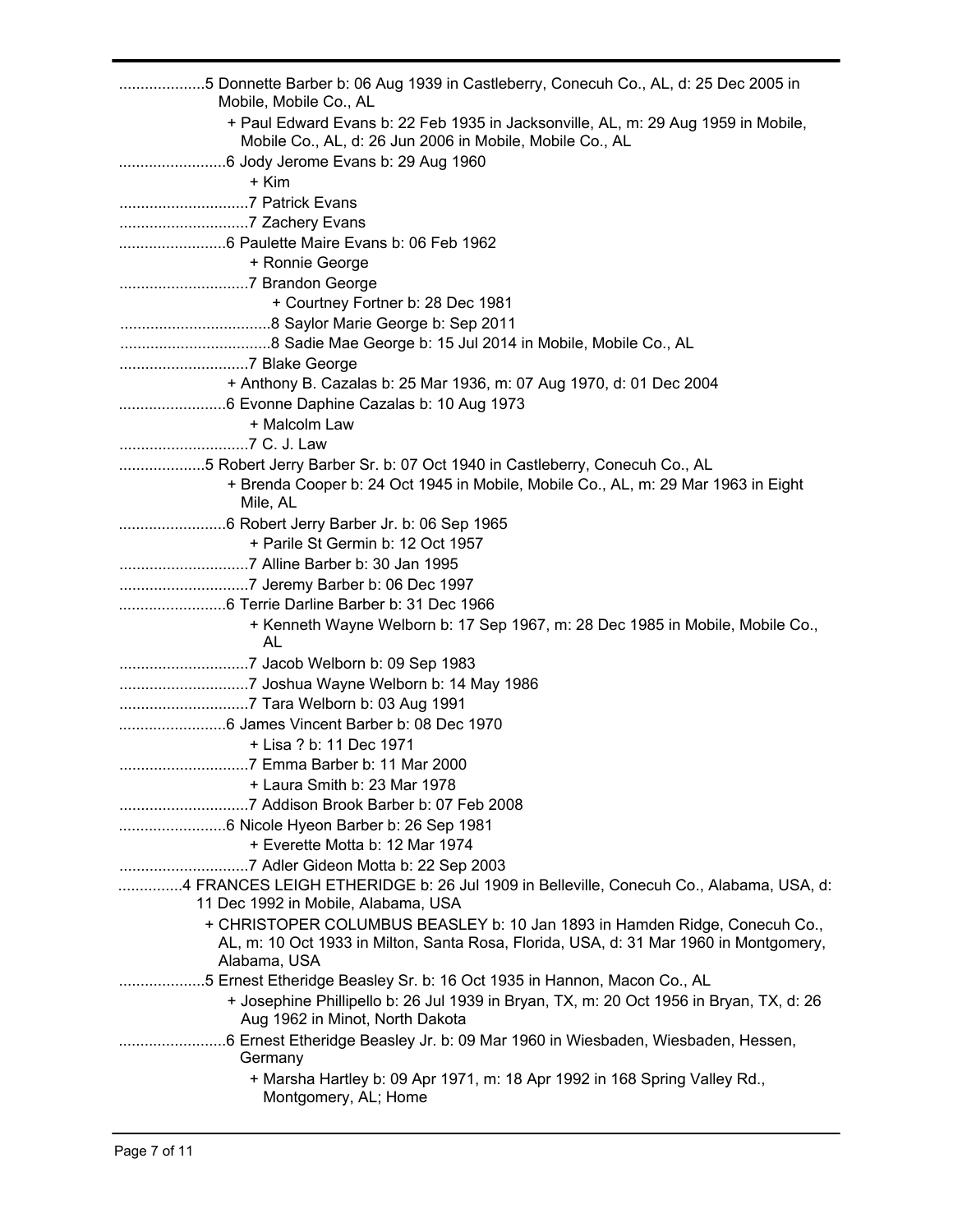| 5 Donnette Barber b: 06 Aug 1939 in Castleberry, Conecuh Co., AL, d: 25 Dec 2005 in<br>Mobile, Mobile Co., AL                                 |
|-----------------------------------------------------------------------------------------------------------------------------------------------|
| + Paul Edward Evans b: 22 Feb 1935 in Jacksonville, AL, m: 29 Aug 1959 in Mobile,<br>Mobile Co., AL, d: 26 Jun 2006 in Mobile, Mobile Co., AL |
|                                                                                                                                               |
| + Kim                                                                                                                                         |
|                                                                                                                                               |
|                                                                                                                                               |
|                                                                                                                                               |
| + Ronnie George                                                                                                                               |
|                                                                                                                                               |
| + Courtney Fortner b: 28 Dec 1981                                                                                                             |
|                                                                                                                                               |
|                                                                                                                                               |
|                                                                                                                                               |
| + Anthony B. Cazalas b: 25 Mar 1936, m: 07 Aug 1970, d: 01 Dec 2004                                                                           |
|                                                                                                                                               |
| + Malcolm Law                                                                                                                                 |
|                                                                                                                                               |
| 5 Robert Jerry Barber Sr. b: 07 Oct 1940 in Castleberry, Conecuh Co., AL                                                                      |
| + Brenda Cooper b: 24 Oct 1945 in Mobile, Mobile Co., AL, m: 29 Mar 1963 in Eight                                                             |
| Mile, AL                                                                                                                                      |
|                                                                                                                                               |
| + Parile St Germin b: 12 Oct 1957                                                                                                             |
|                                                                                                                                               |
|                                                                                                                                               |
|                                                                                                                                               |
| + Kenneth Wayne Welborn b: 17 Sep 1967, m: 28 Dec 1985 in Mobile, Mobile Co.,                                                                 |
| AL                                                                                                                                            |
|                                                                                                                                               |
|                                                                                                                                               |
|                                                                                                                                               |
|                                                                                                                                               |
| + Lisa ? b: 11 Dec 1971                                                                                                                       |
| 7 Emma Barber b: 11 Mar 2000                                                                                                                  |
| + Laura Smith b: 23 Mar 1978                                                                                                                  |
|                                                                                                                                               |
|                                                                                                                                               |
| + Everette Motta b: 12 Mar 1974                                                                                                               |
|                                                                                                                                               |
| 4 FRANCES LEIGH ETHERIDGE b: 26 Jul 1909 in Belleville, Conecuh Co., Alabama, USA, d:                                                         |
| 11 Dec 1992 in Mobile, Alabama, USA                                                                                                           |
| + CHRISTOPER COLUMBUS BEASLEY b: 10 Jan 1893 in Hamden Ridge, Conecuh Co.,                                                                    |
| AL, m: 10 Oct 1933 in Milton, Santa Rosa, Florida, USA, d: 31 Mar 1960 in Montgomery,                                                         |
| Alabama, USA                                                                                                                                  |
| 5 Ernest Etheridge Beasley Sr. b: 16 Oct 1935 in Hannon, Macon Co., AL                                                                        |
| + Josephine Phillipello b: 26 Jul 1939 in Bryan, TX, m: 20 Oct 1956 in Bryan, TX, d: 26                                                       |
| Aug 1962 in Minot, North Dakota                                                                                                               |
| Germany                                                                                                                                       |
| + Marsha Hartley b: 09 Apr 1971, m: 18 Apr 1992 in 168 Spring Valley Rd.,                                                                     |
| Montgomery, AL; Home                                                                                                                          |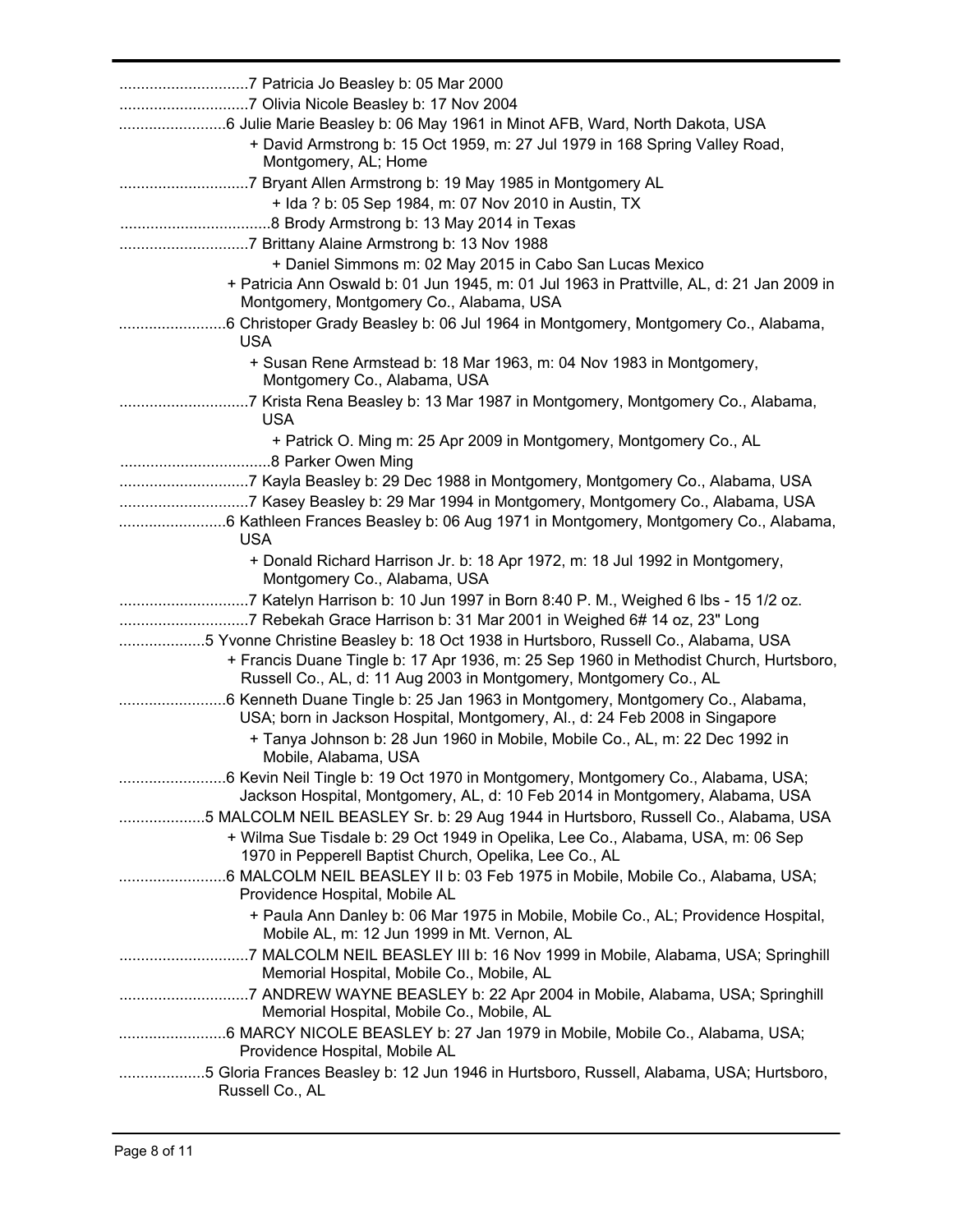| + David Armstrong b: 15 Oct 1959, m: 27 Jul 1979 in 168 Spring Valley Road,                                                                                                                                                                                                                                              |
|--------------------------------------------------------------------------------------------------------------------------------------------------------------------------------------------------------------------------------------------------------------------------------------------------------------------------|
| Montgomery, AL; Home<br>+ Ida ? b: 05 Sep 1984, m: 07 Nov 2010 in Austin, TX                                                                                                                                                                                                                                             |
| + Daniel Simmons m: 02 May 2015 in Cabo San Lucas Mexico                                                                                                                                                                                                                                                                 |
| + Patricia Ann Oswald b: 01 Jun 1945, m: 01 Jul 1963 in Prattville, AL, d: 21 Jan 2009 in<br>Montgomery, Montgomery Co., Alabama, USA                                                                                                                                                                                    |
| <b>USA</b>                                                                                                                                                                                                                                                                                                               |
| + Susan Rene Armstead b: 18 Mar 1963, m: 04 Nov 1983 in Montgomery,<br>Montgomery Co., Alabama, USA                                                                                                                                                                                                                      |
| 7 Krista Rena Beasley b: 13 Mar 1987 in Montgomery, Montgomery Co., Alabama,<br><b>USA</b>                                                                                                                                                                                                                               |
| + Patrick O. Ming m: 25 Apr 2009 in Montgomery, Montgomery Co., AL                                                                                                                                                                                                                                                       |
| 7 Kayla Beasley b: 29 Dec 1988 in Montgomery, Montgomery Co., Alabama, USA<br>7 Kasey Beasley b: 29 Mar 1994 in Montgomery, Montgomery Co., Alabama, USA<br><b>USA</b>                                                                                                                                                   |
| + Donald Richard Harrison Jr. b: 18 Apr 1972, m: 18 Jul 1992 in Montgomery,<br>Montgomery Co., Alabama, USA                                                                                                                                                                                                              |
| 7 Rebekah Grace Harrison b: 31 Mar 2001 in Weighed 6# 14 oz, 23" Long<br>5 Yvonne Christine Beasley b: 18 Oct 1938 in Hurtsboro, Russell Co., Alabama, USA<br>+ Francis Duane Tingle b: 17 Apr 1936, m: 25 Sep 1960 in Methodist Church, Hurtsboro,<br>Russell Co., AL, d: 11 Aug 2003 in Montgomery, Montgomery Co., AL |
| USA; born in Jackson Hospital, Montgomery, Al., d: 24 Feb 2008 in Singapore<br>+ Tanya Johnson b: 28 Jun 1960 in Mobile, Mobile Co., AL, m: 22 Dec 1992 in<br>Mobile, Alabama, USA                                                                                                                                       |
| 6 Kevin Neil Tingle b: 19 Oct 1970 in Montgomery, Montgomery Co., Alabama, USA;<br>Jackson Hospital, Montgomery, AL, d: 10 Feb 2014 in Montgomery, Alabama, USA                                                                                                                                                          |
| 5 MALCOLM NEIL BEASLEY Sr. b: 29 Aug 1944 in Hurtsboro, Russell Co., Alabama, USA<br>+ Wilma Sue Tisdale b: 29 Oct 1949 in Opelika, Lee Co., Alabama, USA, m: 06 Sep<br>1970 in Pepperell Baptist Church, Opelika, Lee Co., AL                                                                                           |
| Providence Hospital, Mobile AL                                                                                                                                                                                                                                                                                           |
| + Paula Ann Danley b: 06 Mar 1975 in Mobile, Mobile Co., AL; Providence Hospital,<br>Mobile AL, m: 12 Jun 1999 in Mt. Vernon, AL                                                                                                                                                                                         |
| Memorial Hospital, Mobile Co., Mobile, AL                                                                                                                                                                                                                                                                                |
| Memorial Hospital, Mobile Co., Mobile, AL                                                                                                                                                                                                                                                                                |
| Providence Hospital, Mobile AL                                                                                                                                                                                                                                                                                           |
| 5 Gloria Frances Beasley b: 12 Jun 1946 in Hurtsboro, Russell, Alabama, USA; Hurtsboro,<br>Russell Co., AL                                                                                                                                                                                                               |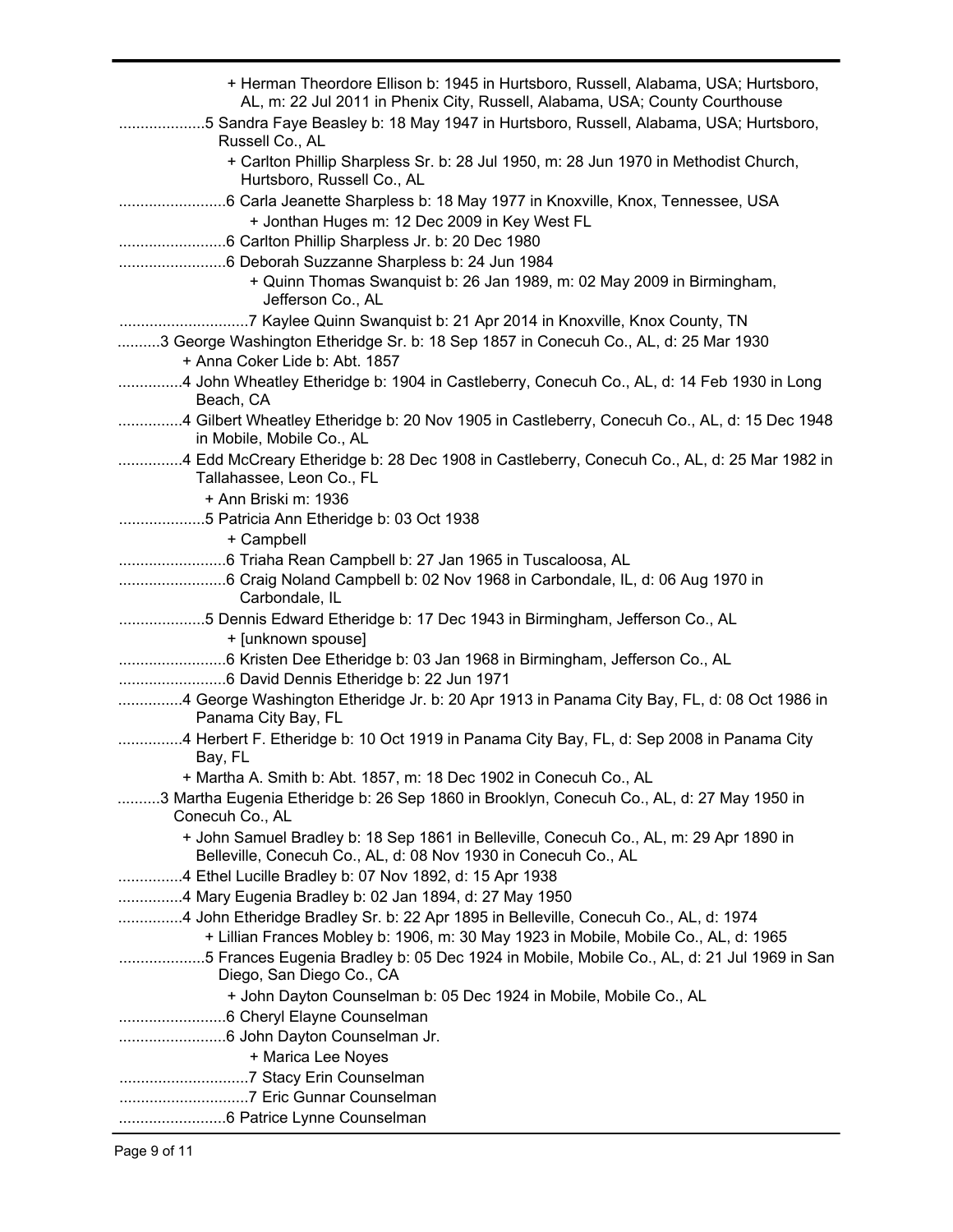| + Herman Theordore Ellison b: 1945 in Hurtsboro, Russell, Alabama, USA; Hurtsboro,<br>AL, m: 22 Jul 2011 in Phenix City, Russell, Alabama, USA; County Courthouse<br>5 Sandra Faye Beasley b: 18 May 1947 in Hurtsboro, Russell, Alabama, USA; Hurtsboro, |
|-----------------------------------------------------------------------------------------------------------------------------------------------------------------------------------------------------------------------------------------------------------|
| Russell Co., AL<br>+ Carlton Phillip Sharpless Sr. b: 28 Jul 1950, m: 28 Jun 1970 in Methodist Church,<br>Hurtsboro, Russell Co., AL                                                                                                                      |
|                                                                                                                                                                                                                                                           |
| + Jonthan Huges m: 12 Dec 2009 in Key West FL                                                                                                                                                                                                             |
|                                                                                                                                                                                                                                                           |
|                                                                                                                                                                                                                                                           |
| + Quinn Thomas Swanquist b: 26 Jan 1989, m: 02 May 2009 in Birmingham,<br>Jefferson Co., AL                                                                                                                                                               |
|                                                                                                                                                                                                                                                           |
| 3 George Washington Etheridge Sr. b: 18 Sep 1857 in Conecuh Co., AL, d: 25 Mar 1930                                                                                                                                                                       |
| + Anna Coker Lide b: Abt. 1857                                                                                                                                                                                                                            |
| 4 John Wheatley Etheridge b: 1904 in Castleberry, Conecuh Co., AL, d: 14 Feb 1930 in Long<br>Beach, CA                                                                                                                                                    |
| 4 Gilbert Wheatley Etheridge b: 20 Nov 1905 in Castleberry, Conecuh Co., AL, d: 15 Dec 1948<br>in Mobile, Mobile Co., AL                                                                                                                                  |
| 4 Edd McCreary Etheridge b: 28 Dec 1908 in Castleberry, Conecuh Co., AL, d: 25 Mar 1982 in<br>Tallahassee, Leon Co., FL                                                                                                                                   |
| + Ann Briski m: 1936                                                                                                                                                                                                                                      |
| 5 Patricia Ann Etheridge b: 03 Oct 1938                                                                                                                                                                                                                   |
| + Campbell                                                                                                                                                                                                                                                |
|                                                                                                                                                                                                                                                           |
| Carbondale, IL                                                                                                                                                                                                                                            |
| 5 Dennis Edward Etheridge b: 17 Dec 1943 in Birmingham, Jefferson Co., AL                                                                                                                                                                                 |
| + [unknown spouse]                                                                                                                                                                                                                                        |
|                                                                                                                                                                                                                                                           |
|                                                                                                                                                                                                                                                           |
| 4 George Washington Etheridge Jr. b: 20 Apr 1913 in Panama City Bay, FL, d: 08 Oct 1986 in<br>Panama City Bay, FL                                                                                                                                         |
| 4 Herbert F. Etheridge b: 10 Oct 1919 in Panama City Bay, FL, d: Sep 2008 in Panama City<br>Bay, FL                                                                                                                                                       |
| + Martha A. Smith b: Abt. 1857, m: 18 Dec 1902 in Conecuh Co., AL                                                                                                                                                                                         |
| 3 Martha Eugenia Etheridge b: 26 Sep 1860 in Brooklyn, Conecuh Co., AL, d: 27 May 1950 in<br>Conecuh Co., AL                                                                                                                                              |
| + John Samuel Bradley b: 18 Sep 1861 in Belleville, Conecuh Co., AL, m: 29 Apr 1890 in<br>Belleville, Conecuh Co., AL, d: 08 Nov 1930 in Conecuh Co., AL                                                                                                  |
| 4 Ethel Lucille Bradley b: 07 Nov 1892, d: 15 Apr 1938                                                                                                                                                                                                    |
| 4 Mary Eugenia Bradley b: 02 Jan 1894, d: 27 May 1950                                                                                                                                                                                                     |
| 4 John Etheridge Bradley Sr. b: 22 Apr 1895 in Belleville, Conecuh Co., AL, d: 1974                                                                                                                                                                       |
| + Lillian Frances Mobley b: 1906, m: 30 May 1923 in Mobile, Mobile Co., AL, d: 1965                                                                                                                                                                       |
| 5 Frances Eugenia Bradley b: 05 Dec 1924 in Mobile, Mobile Co., AL, d: 21 Jul 1969 in San                                                                                                                                                                 |
| Diego, San Diego Co., CA                                                                                                                                                                                                                                  |
| + John Dayton Counselman b: 05 Dec 1924 in Mobile, Mobile Co., AL                                                                                                                                                                                         |
|                                                                                                                                                                                                                                                           |
|                                                                                                                                                                                                                                                           |
| + Marica Lee Noyes                                                                                                                                                                                                                                        |
|                                                                                                                                                                                                                                                           |
|                                                                                                                                                                                                                                                           |
|                                                                                                                                                                                                                                                           |
|                                                                                                                                                                                                                                                           |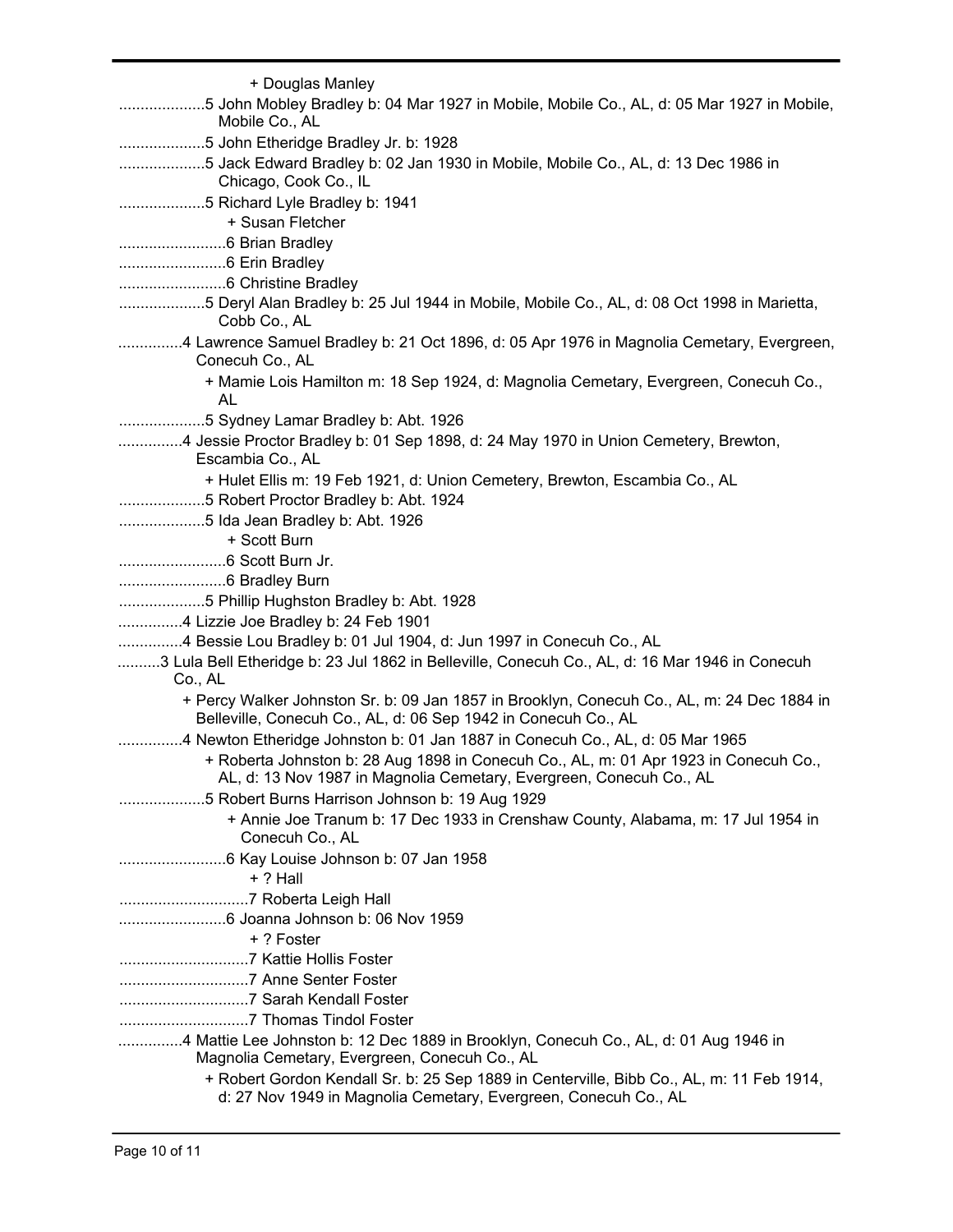| + Douglas Manley<br>5 John Mobley Bradley b: 04 Mar 1927 in Mobile, Mobile Co., AL, d: 05 Mar 1927 in Mobile,<br>Mobile Co., AL                                                  |
|----------------------------------------------------------------------------------------------------------------------------------------------------------------------------------|
| 5 John Etheridge Bradley Jr. b: 1928<br>5 Jack Edward Bradley b: 02 Jan 1930 in Mobile, Mobile Co., AL, d: 13 Dec 1986 in<br>Chicago, Cook Co., IL                               |
| 5 Richard Lyle Bradley b: 1941<br>+ Susan Fletcher                                                                                                                               |
|                                                                                                                                                                                  |
| 5 Deryl Alan Bradley b: 25 Jul 1944 in Mobile, Mobile Co., AL, d: 08 Oct 1998 in Marietta,                                                                                       |
| Cobb Co., AL<br>4 Lawrence Samuel Bradley b: 21 Oct 1896, d: 05 Apr 1976 in Magnolia Cemetary, Evergreen,                                                                        |
| Conecuh Co., AL<br>+ Mamie Lois Hamilton m: 18 Sep 1924, d: Magnolia Cemetary, Evergreen, Conecuh Co.,                                                                           |
| AL<br>5 Sydney Lamar Bradley b: Abt. 1926                                                                                                                                        |
| 4 Jessie Proctor Bradley b: 01 Sep 1898, d: 24 May 1970 in Union Cemetery, Brewton,<br>Escambia Co., AL                                                                          |
| + Hulet Ellis m: 19 Feb 1921, d: Union Cemetery, Brewton, Escambia Co., AL<br>5 Robert Proctor Bradley b: Abt. 1924                                                              |
| 5 Ida Jean Bradley b: Abt. 1926<br>+ Scott Burn                                                                                                                                  |
|                                                                                                                                                                                  |
| 5 Phillip Hughston Bradley b: Abt. 1928<br>4 Lizzie Joe Bradley b: 24 Feb 1901                                                                                                   |
| 4 Bessie Lou Bradley b: 01 Jul 1904, d: Jun 1997 in Conecuh Co., AL<br>3 Lula Bell Etheridge b: 23 Jul 1862 in Belleville, Conecuh Co., AL, d: 16 Mar 1946 in Conecuh<br>Co., AL |
| + Percy Walker Johnston Sr. b: 09 Jan 1857 in Brooklyn, Conecuh Co., AL, m: 24 Dec 1884 in<br>Belleville, Conecuh Co., AL, d: 06 Sep 1942 in Conecuh Co., AL                     |
| 4 Newton Etheridge Johnston b: 01 Jan 1887 in Conecuh Co., AL, d: 05 Mar 1965<br>+ Roberta Johnston b: 28 Aug 1898 in Conecuh Co., AL, m: 01 Apr 1923 in Conecuh Co.,            |
| AL, d: 13 Nov 1987 in Magnolia Cemetary, Evergreen, Conecuh Co., AL<br>5 Robert Burns Harrison Johnson b: 19 Aug 1929<br>.                                                       |
| + Annie Joe Tranum b: 17 Dec 1933 in Crenshaw County, Alabama, m: 17 Jul 1954 in<br>Conecuh Co., AL                                                                              |
| $+$ ? Hall                                                                                                                                                                       |
|                                                                                                                                                                                  |
| + ? Foster                                                                                                                                                                       |
|                                                                                                                                                                                  |
|                                                                                                                                                                                  |
| 4 Mattie Lee Johnston b: 12 Dec 1889 in Brooklyn, Conecuh Co., AL, d: 01 Aug 1946 in<br>Magnolia Cemetary, Evergreen, Conecuh Co., AL                                            |
| + Robert Gordon Kendall Sr. b: 25 Sep 1889 in Centerville, Bibb Co., AL, m: 11 Feb 1914,<br>d: 27 Nov 1949 in Magnolia Cemetary, Evergreen, Conecuh Co., AL                      |